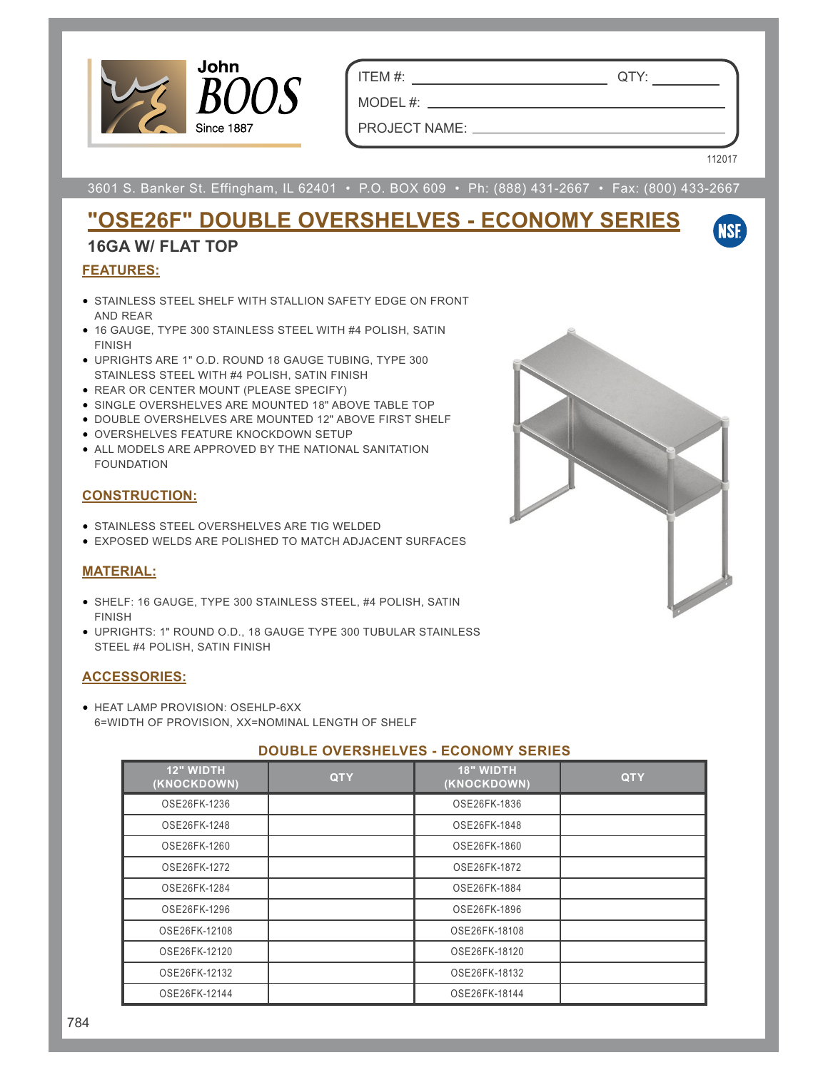

ITEM #: QTY:

PROJECT NAME:

MODEL #:

112017

**NSE** 

3601 S. Banker St. Effingham, IL 62401 • P.O. BOX 609 • Ph: (888) 431-2667 • Fax: (800) 433-2667

## **"OSE26F" DOUBLE OVERSHELVES - ECONOMY SERIES**

### **16GA W/ FLAT TOP**

#### **FEATURES:**

- STAINLESS STEEL SHELF WITH STALLION SAFETY EDGE ON FRONT AND REAR
- 16 GAUGE, TYPE 300 STAINLESS STEEL WITH #4 POLISH, SATIN FINISH
- UPRIGHTS ARE 1" O.D. ROUND 18 GAUGE TUBING, TYPE 300 STAINLESS STEEL WITH #4 POLISH, SATIN FINISH
- REAR OR CENTER MOUNT (PLEASE SPECIFY)
- SINGLE OVERSHELVES ARE MOUNTED 18" ABOVE TABLE TOP
- DOUBLE OVERSHELVES ARE MOUNTED 12" ABOVE FIRST SHELF
- OVERSHELVES FEATURE KNOCKDOWN SETUP
- ALL MODELS ARE APPROVED BY THE NATIONAL SANITATION FOUNDATION

#### **CONSTRUCTION:**

- STAINLESS STEEL OVERSHELVES ARE TIG WELDED
- EXPOSED WELDS ARE POLISHED TO MATCH ADJACENT SURFACES

#### **MATERIAL:**

- SHELF: 16 GAUGE, TYPE 300 STAINLESS STEEL, #4 POLISH, SATIN FINISH
- UPRIGHTS: 1" ROUND O.D., 18 GAUGE TYPE 300 TUBULAR STAINLESS STEEL #4 POLISH, SATIN FINISH

#### **ACCESSORIES:**

• HEAT LAMP PROVISION: OSEHLP-6XX 6=WIDTH OF PROVISION, XX=NOMINAL LENGTH OF SHELF

#### **DOUBLE OVERSHELVES - ECONOMY SERIES**

| <b>12" WIDTH</b><br>(KNOCKDOWN) | <b>QTY</b> | <b>18" WIDTH</b><br>(KNOCKDOWN) | <b>QTY</b> |
|---------------------------------|------------|---------------------------------|------------|
| OSE26FK-1236                    |            | OSE26FK-1836                    |            |
| OSE26FK-1248                    |            | OSE26FK-1848                    |            |
| OSE26FK-1260                    |            | OSE26FK-1860                    |            |
| OSE26FK-1272                    |            | OSE26FK-1872                    |            |
| OSE26FK-1284                    |            | OSE26FK-1884                    |            |
| OSE26FK-1296                    |            | OSE26FK-1896                    |            |
| OSE26FK-12108                   |            | OSE26FK-18108                   |            |
| OSE26FK-12120                   |            | OSE26FK-18120                   |            |
| OSE26FK-12132                   |            | OSE26FK-18132                   |            |
| OSE26FK-12144                   |            | OSE26FK-18144                   |            |